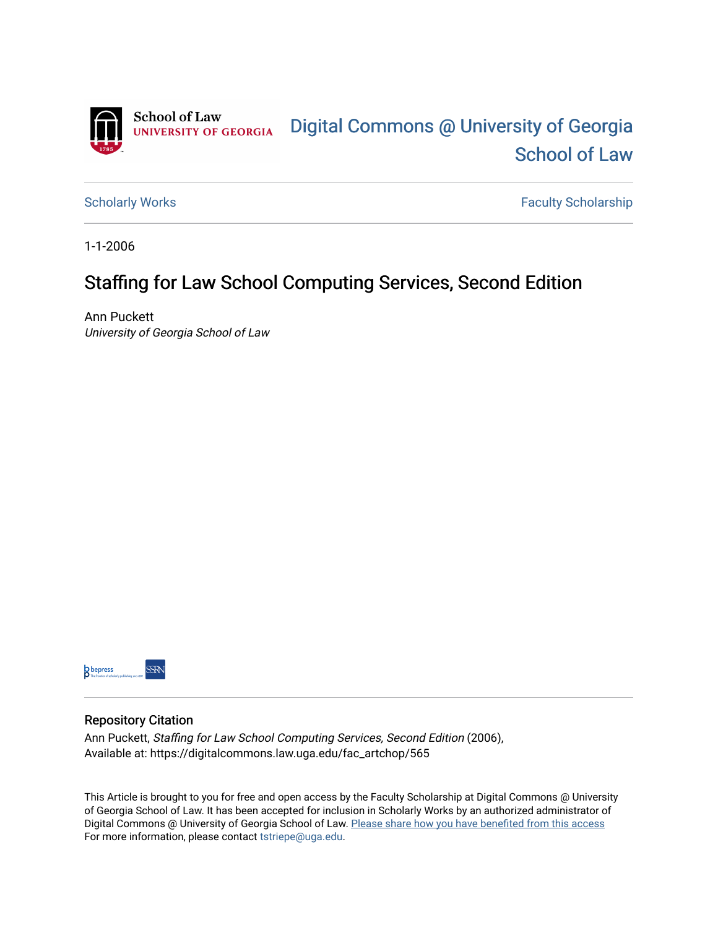

[Scholarly Works](https://digitalcommons.law.uga.edu/fac_artchop) **Faculty Scholarship** Scholarship

1-1-2006

## Staffing for Law School Computing Services, Second Edition

Ann Puckett University of Georgia School of Law



#### Repository Citation

Ann Puckett, Staffing for Law School Computing Services, Second Edition (2006), Available at: https://digitalcommons.law.uga.edu/fac\_artchop/565

This Article is brought to you for free and open access by the Faculty Scholarship at Digital Commons @ University of Georgia School of Law. It has been accepted for inclusion in Scholarly Works by an authorized administrator of Digital Commons @ University of Georgia School of Law. Please share how you have benefited from this access For more information, please contact [tstriepe@uga.edu](mailto:tstriepe@uga.edu).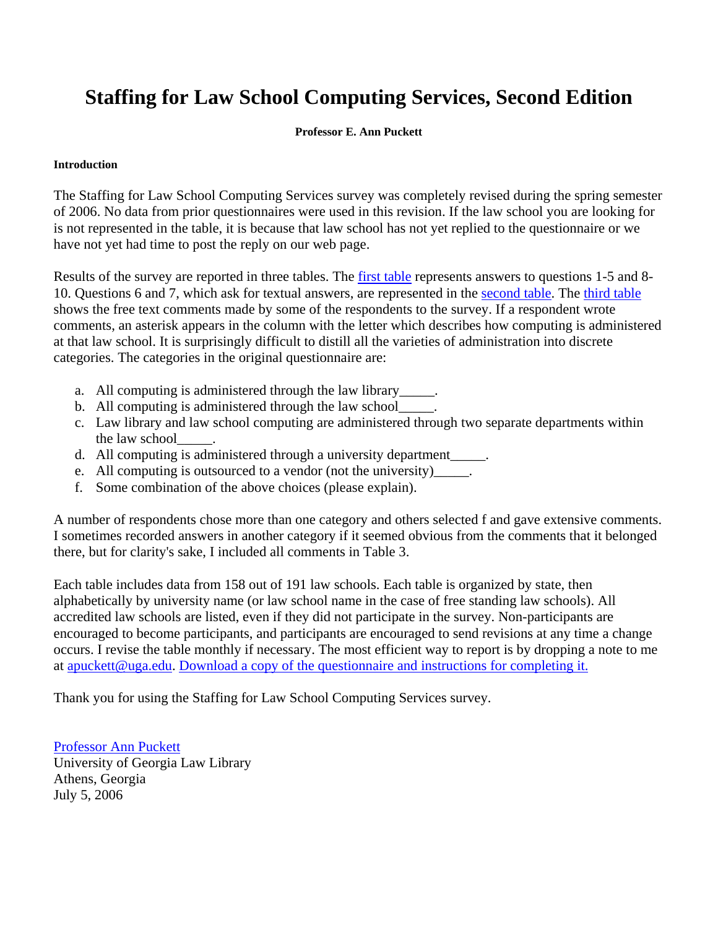# **Staffing for Law School Computing Services, Second Edition**

### **Professor E. Ann Puckett**

### **Introduction**

The Staffing for Law School Computing Services survey was completely revised during the spring semester of 2006. No data from prior questionnaires were used in this revision. If the law school you are looking for is not represented in the table, it is because that law school has not yet replied to the questionnaire or we have not yet had time to post the reply on our web page.

Results of the survey are reported in three tables. The first table represents answers to questions 1-5 and 8- 10. Questions 6 and 7, which ask for textual answers, are represented in the second table. The third table shows the free text comments made by some of the respondents to the survey. If a respondent wrote comments, an asterisk appears in the column with the letter which describes how computing is administered at that law school. It is surprisingly difficult to distill all the varieties of administration into discrete categories. The categories in the original questionnaire are:

- a. All computing is administered through the law library\_\_\_\_\_.
- b. All computing is administered through the law school\_\_\_\_\_.
- c. Law library and law school computing are administered through two separate departments within the law school
- d. All computing is administered through a university department .
- e. All computing is outsourced to a vendor (not the university) .
- f. Some combination of the above choices (please explain).

A number of respondents chose more than one category and others selected f and gave extensive comments. I sometimes recorded answers in another category if it seemed obvious from the comments that it belonged there, but for clarity's sake, I included all comments in Table 3.

Each table includes data from 158 out of 191 law schools. Each table is organized by state, then alphabetically by university name (or law school name in the case of free standing law schools). All accredited law schools are listed, even if they did not participate in the survey. Non-participants are encouraged to become participants, and participants are encouraged to send revisions at any time a change occurs. I revise the table monthly if necessary. The most efficient way to report is by dropping a note to me at apuckett@uga.edu. Download a copy of the questionnaire and instructions for completing it.

Thank you for using the Staffing for Law School Computing Services survey.

Professor Ann Puckett University of Georgia Law Library Athens, Georgia July 5, 2006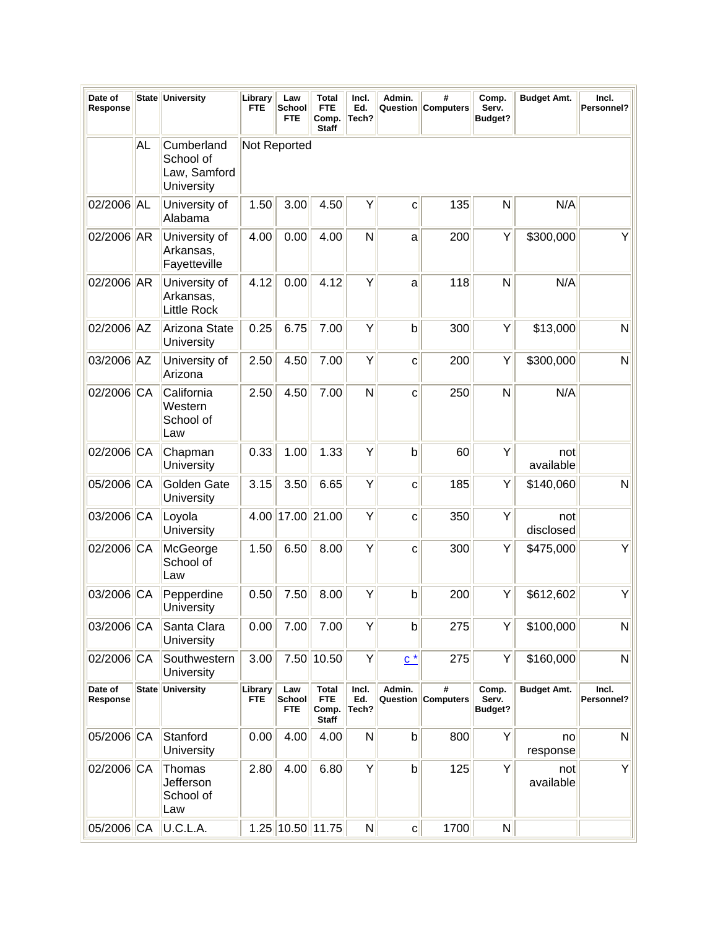| Date of<br>Response |              | State University                                      | Library<br>FTE        | Law<br>School<br><b>FTE</b> | Total<br><b>FTE</b><br>Comp.<br><b>Staff</b>        | Incl.<br>Ed.<br>Tech? | Admin.            | #<br>Question Computers | Comp.<br>Serv.<br>Budget?        | <b>Budget Amt.</b> | Incl.<br>Personnel? |
|---------------------|--------------|-------------------------------------------------------|-----------------------|-----------------------------|-----------------------------------------------------|-----------------------|-------------------|-------------------------|----------------------------------|--------------------|---------------------|
|                     | <b>AL</b>    | Cumberland<br>School of<br>Law, Samford<br>University |                       | Not Reported                |                                                     |                       |                   |                         |                                  |                    |                     |
| 02/2006 AL          |              | University of<br>Alabama                              | 1.50                  | 3.00                        | 4.50                                                | Υ                     | C                 | 135                     | N                                | N/A                |                     |
| 02/2006 AR          |              | University of<br>Arkansas,<br>Fayetteville            | 4.00                  | 0.00                        | 4.00                                                | $\mathsf{N}$          | a                 | 200                     | Υ                                | \$300,000          | Υ                   |
| 02/2006 AR          |              | University of<br>Arkansas,<br><b>Little Rock</b>      | 4.12                  | 0.00                        | 4.12                                                | Y                     | a                 | 118                     | N                                | N/A                |                     |
| 02/2006 AZ          |              | Arizona State<br>University                           | 0.25                  | 6.75                        | 7.00                                                | Υ                     | $\mathsf b$       | 300                     | Y                                | \$13,000           | $\mathsf{N}$        |
| 03/2006 AZ          |              | University of<br>Arizona                              | 2.50                  | 4.50                        | 7.00                                                | Y                     | C                 | 200                     | Y                                | \$300,000          | N                   |
| 02/2006 CA          |              | California<br>Western<br>School of<br>Law             | 2.50                  | 4.50                        | 7.00                                                | $\mathsf{N}$          | C                 | 250                     | N                                | N/A                |                     |
| 02/2006 CA          |              | Chapman<br>University                                 | 0.33                  | 1.00                        | 1.33                                                | Y                     | $\mathsf b$       | 60                      | Y                                | not<br>available   |                     |
| 05/2006 CA          |              | Golden Gate<br>University                             | 3.15                  | 3.50                        | 6.65                                                | Y                     | C                 | 185                     | Υ                                | \$140,060          | $\mathsf{N}$        |
| 03/2006 CA          |              | Loyola<br>University                                  | 4.00                  | 17.00                       | 21.00                                               | Υ                     | C                 | 350                     | Y                                | not<br>disclosed   |                     |
| 02/2006 CA          |              | McGeorge<br>School of<br>Law                          | 1.50                  | 6.50                        | 8.00                                                | Υ                     | C                 | 300                     | Υ                                | \$475,000          |                     |
| 03/2006             | CA           | Pepperdine<br>University                              | 0.50                  | 7.50                        | 8.00                                                | Y                     | $\mathsf b$       | 200                     | Υ                                | \$612,602          | Y                   |
| 03/2006 CA          |              | Santa Clara<br>University                             | 0.00                  | 7.00                        | 7.00                                                | Υ                     | $\mathsf b$       | 275                     | Y                                | \$100,000          | N                   |
| 02/2006 CA          |              | Southwestern<br>University                            | 3.00                  |                             | 7.50 10.50                                          | Y                     | $\underline{c}^*$ | 275                     | Y                                | \$160,000          | $\mathsf{N}$        |
| Date of<br>Response | <b>State</b> | University                                            | Library<br><b>FTE</b> | Law<br>School<br><b>FTE</b> | <b>Total</b><br><b>FTE</b><br>Comp.<br><b>Staff</b> | Incl.<br>Ed.<br>Tech? | Admin.            | #<br>Question Computers | Comp.<br>Serv.<br><b>Budget?</b> | <b>Budget Amt.</b> | Incl.<br>Personnel? |
| 05/2006 CA          |              | Stanford<br>University                                | 0.00                  | 4.00                        | 4.00                                                | ${\sf N}$             | $\mathsf b$       | 800                     | Y                                | no<br>response     | $\mathsf{N}$        |
| 02/2006 CA          |              | Thomas<br>Jefferson<br>School of<br>Law               | 2.80                  | 4.00                        | 6.80                                                | Y                     | $\mathsf{b}$      | 125                     | Y                                | not<br>available   | Y                   |
| 05/2006 CA          |              | U.C.L.A.                                              |                       | 1.25 10.50 11.75            |                                                     | N                     | $\mathbf{C}$      | 1700                    | N                                |                    |                     |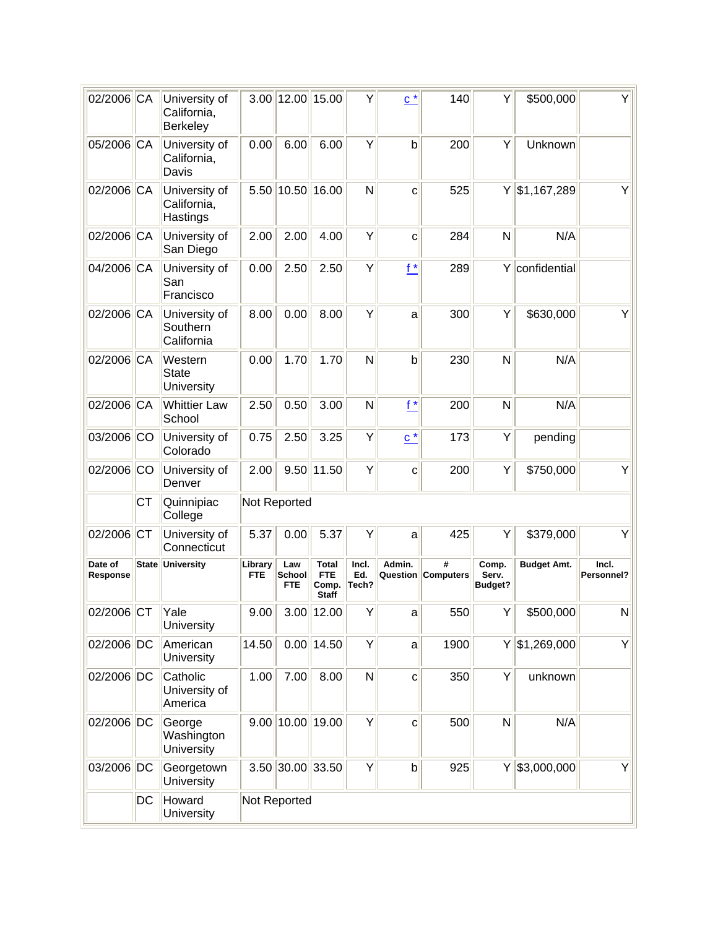| 02/2006 CA          |    | University of<br>California,<br>Berkeley |                       | 3.00 12.00 15.00      |                                                     | Υ                     | $c^*$             | 140                     | Y                                | \$500,000          | Y                   |
|---------------------|----|------------------------------------------|-----------------------|-----------------------|-----------------------------------------------------|-----------------------|-------------------|-------------------------|----------------------------------|--------------------|---------------------|
| 05/2006 CA          |    | University of<br>California,<br>Davis    | 0.00                  | 6.00                  | 6.00                                                | Y                     | $\mathsf b$       | 200                     | Y                                | Unknown            |                     |
| 02/2006 CA          |    | University of<br>California,<br>Hastings |                       | 5.50 10.50 16.00      |                                                     | N                     | C                 | 525                     |                                  | $Y$ \$1,167,289    | Y                   |
| 02/2006 CA          |    | University of<br>San Diego               | 2.00                  | 2.00                  | 4.00                                                | Y                     | $\mathbf c$       | 284                     | N                                | N/A                |                     |
| 04/2006 CA          |    | University of<br>San<br>Francisco        | 0.00                  | 2.50                  | 2.50                                                | Y                     | $f^*$             | 289                     |                                  | Y confidential     |                     |
| 02/2006 CA          |    | University of<br>Southern<br>California  | 8.00                  | 0.00                  | 8.00                                                | Y                     | a                 | 300                     | Υ                                | \$630,000          | Υ                   |
| 02/2006 CA          |    | Western<br><b>State</b><br>University    | 0.00                  | 1.70                  | 1.70                                                | N                     | $\mathsf b$       | 230                     | $\mathsf{N}$                     | N/A                |                     |
| 02/2006 CA          |    | <b>Whittier Law</b><br>School            | 2.50                  | 0.50                  | 3.00                                                | N                     | $f^*$             | 200                     | $\mathsf{N}$                     | N/A                |                     |
| 03/2006 CO          |    | University of<br>Colorado                | 0.75                  | 2.50                  | 3.25                                                | Υ                     | $\underline{c}^*$ | 173                     | Y                                | pending            |                     |
| 02/2006 CO          |    | University of<br>Denver                  | 2.00                  |                       | $9.50$   11.50                                      | Υ                     | $\mathbf{C}$      | 200                     | Y                                | \$750,000          | Y                   |
|                     | СT | Quinnipiac<br>College                    |                       | Not Reported          |                                                     |                       |                   |                         |                                  |                    |                     |
| 02/2006 CT          |    | University of<br>Connecticut             | 5.37                  | 0.00                  | 5.37                                                | Υ                     | a                 | 425                     | Y                                | \$379,000          | Y                   |
| Date of<br>Response |    | <b>State University</b>                  | Library<br><b>FTE</b> | Law<br>School<br>FTE. | <b>Total</b><br><b>FTE</b><br>Comp.<br><b>Staff</b> | Incl.<br>Ed.<br>Tech? | Admin.            | #<br>Question Computers | Comp.<br>Serv.<br><b>Budget?</b> | <b>Budget Amt.</b> | Incl.<br>Personnel? |
| 02/2006 CT          |    | Yale<br>University                       | 9.00                  |                       | $3.00$ 12.00                                        | Y                     | $\mathsf{a}$      | 550                     | Y                                | \$500,000          | N                   |
| 02/2006 DC          |    | American<br>University                   | 14.50                 |                       | $0.00$   14.50                                      | Υ                     | a                 | 1900                    |                                  | $Y$ \$1,269,000    | Y                   |
| 02/2006 DC          |    | Catholic<br>University of<br>America     | 1.00                  | 7.00                  | 8.00                                                | N                     | $\mathbf{C}$      | 350                     | Y                                | unknown            |                     |
| 02/2006 DC          |    | George<br>Washington<br>University       |                       | $9.00$   10.00  19.00 |                                                     | Y                     | $\mathbf{C}$      | 500                     | N                                | N/A                |                     |
| 03/2006 DC          |    | Georgetown<br>University                 |                       | 3.50 30.00 33.50      |                                                     | Y                     | $\mathsf{b}$      | 925                     |                                  | $Y  $ \$3,000,000  | Y                   |
|                     | DC | Howard<br>University                     |                       | Not Reported          |                                                     |                       |                   |                         |                                  |                    |                     |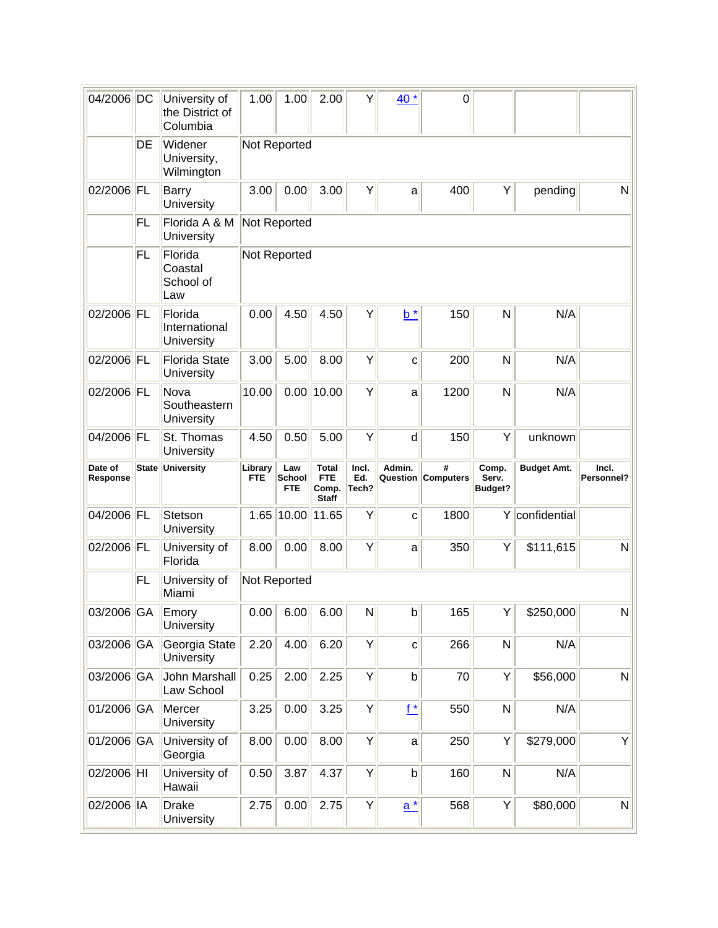| 04/2006 DC          |              | University of<br>the District of<br>Columbia | 1.00                  | 1.00                        | 2.00                                                | Υ                     | 40 *         | $\mathbf 0$                    |                                  |                    |                     |
|---------------------|--------------|----------------------------------------------|-----------------------|-----------------------------|-----------------------------------------------------|-----------------------|--------------|--------------------------------|----------------------------------|--------------------|---------------------|
|                     | DE           | Widener<br>University,<br>Wilmington         |                       | Not Reported                |                                                     |                       |              |                                |                                  |                    |                     |
| 02/2006 FL          |              | <b>Barry</b><br>University                   | 3.00                  | 0.00                        | 3.00                                                | Υ                     | a            | 400                            | Υ                                | pending            | N                   |
|                     | FL           | Florida A & M<br>University                  |                       | Not Reported                |                                                     |                       |              |                                |                                  |                    |                     |
|                     | <b>FL</b>    | Florida<br>Coastal<br>School of<br>Law       |                       | Not Reported                |                                                     |                       |              |                                |                                  |                    |                     |
| 02/2006 FL          |              | Florida<br>International<br>University       | 0.00                  | 4.50                        | 4.50                                                | Υ                     | $b^*$        | 150                            | N                                | N/A                |                     |
| 02/2006 FL          |              | <b>Florida State</b><br>University           | 3.00                  | 5.00                        | 8.00                                                | Y                     | $\mathbf{C}$ | 200                            | N                                | N/A                |                     |
| 02/2006 FL          |              | Nova<br>Southeastern<br>University           | 10.00                 | 0.00                        | 10.00                                               | Y                     | a            | 1200                           | N                                | N/A                |                     |
| 04/2006 FL          |              | St. Thomas<br>University                     | 4.50                  | 0.50                        | 5.00                                                | Y                     | d            | 150                            | Y                                | unknown            |                     |
|                     |              |                                              |                       |                             |                                                     |                       |              |                                |                                  |                    |                     |
| Date of<br>Response | <b>State</b> | University                                   | Library<br><b>FTE</b> | Law<br>School<br><b>FTE</b> | <b>Total</b><br><b>FTE</b><br>Comp.<br><b>Staff</b> | Incl.<br>Ed.<br>Tech? | Admin.       | #<br><b>Question Computers</b> | Comp.<br>Serv.<br><b>Budget?</b> | <b>Budget Amt.</b> | Incl.<br>Personnel? |
| 04/2006 FL          |              | Stetson<br>University                        | 1.65                  | 10.00                       | 11.65                                               | Υ                     | C            | 1800                           | Y                                | confidential       |                     |
| 02/2006 FL          |              | University of<br>Florida                     | 8.00                  | 0.00                        | 8.00                                                | Υ                     | a            | 350                            | Υ                                | \$111,615          | N                   |
|                     | FL           | University of<br>Miami                       |                       | Not Reported                |                                                     |                       |              |                                |                                  |                    |                     |
| 03/2006 GA          |              | Emory<br>University                          |                       | $0.00$ 6.00 6.00            |                                                     | N                     | $\mathsf{b}$ | 165                            | Y <sub>1</sub>                   | \$250,000          | N                   |
| 03/2006 GA          |              | Georgia State<br>University                  | 2.20                  | 4.00                        | 6.20                                                | Υ                     | $\mathbf{C}$ | 266                            | N                                | N/A                |                     |
| 03/2006 GA          |              | John Marshall<br>Law School                  | 0.25                  | 2.00                        | 2.25                                                | Y                     | $\mathsf b$  | 70                             | Y                                | \$56,000           | N                   |
| 01/2006 GA          |              | Mercer<br>University                         | 3.25                  | 0.00                        | 3.25                                                | Υ                     | $f^*$        | 550                            | N                                | N/A                |                     |
| 01/2006 GA          |              | University of<br>Georgia                     | 8.00                  | 0.00                        | 8.00                                                | Y                     | a            | 250                            | Y                                | \$279,000          | Y                   |
| 02/2006 HI          |              | University of<br>Hawaii                      | 0.50                  | 3.87                        | 4.37                                                | Υ                     | $\mathsf b$  | 160                            | N                                | N/A                |                     |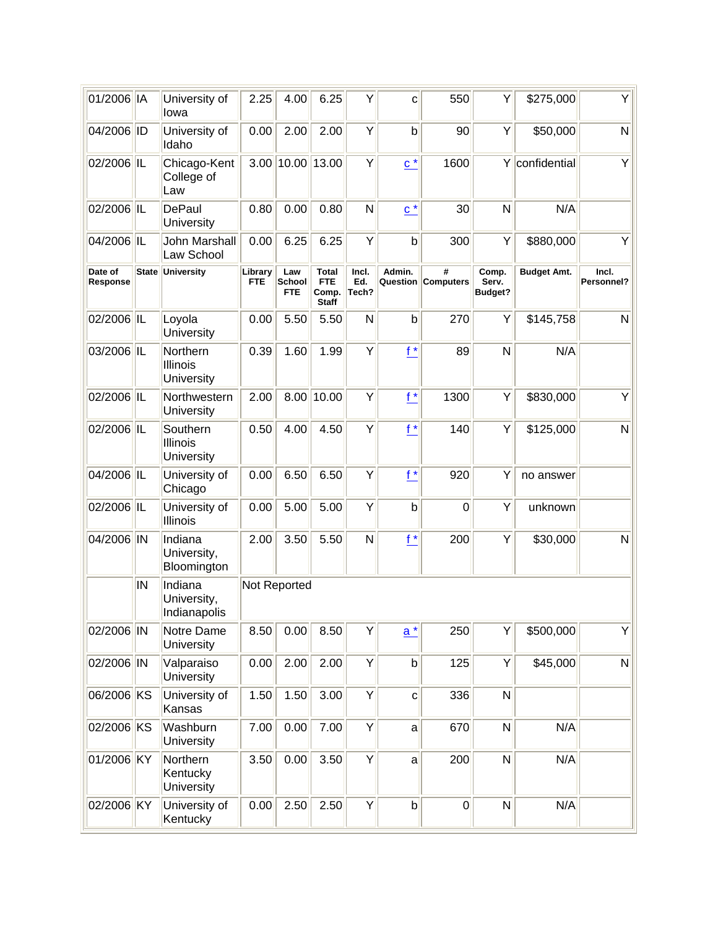| 01/2006 IA          |              | University of<br>lowa                     | 2.25                  | 4.00                  | 6.25                                                | Υ                     | C                 | 550                     | Y                                | \$275,000          | Y                   |
|---------------------|--------------|-------------------------------------------|-----------------------|-----------------------|-----------------------------------------------------|-----------------------|-------------------|-------------------------|----------------------------------|--------------------|---------------------|
| 04/2006 ID          |              | University of<br>Idaho                    | 0.00                  | 2.00                  | 2.00                                                | Y                     | b                 | 90                      | Y                                | \$50,000           | N                   |
| 02/2006 IL          |              | Chicago-Kent<br>College of<br>Law         |                       | 3.00 10.00 13.00      |                                                     | Υ                     | $c^*$             | 1600                    |                                  | Y confidential     | Y                   |
| 02/2006 IL          |              | DePaul<br>University                      | 0.80                  | 0.00                  | 0.80                                                | N                     | $\underline{c}^*$ | 30                      | N                                | N/A                |                     |
| 04/2006 IL          |              | John Marshall<br>Law School               | 0.00                  | 6.25                  | 6.25                                                | Υ                     | $\mathsf b$       | 300                     | Y                                | \$880,000          | Υ                   |
| Date of<br>Response | <b>State</b> | <b>University</b>                         | Library<br><b>FTE</b> | Law<br>School<br>FTE. | <b>Total</b><br><b>FTE</b><br>Comp.<br><b>Staff</b> | Incl.<br>Ed.<br>Tech? | Admin.            | #<br>Question Computers | Comp.<br>Serv.<br><b>Budget?</b> | <b>Budget Amt.</b> | Incl.<br>Personnel? |
| 02/2006 IL          |              | Loyola<br>University                      | 0.00                  | 5.50                  | 5.50                                                | N                     | $\mathsf b$       | 270                     | Y                                | \$145,758          | N                   |
| 03/2006 IL          |              | Northern<br><b>Illinois</b><br>University | 0.39                  | 1.60                  | 1.99                                                | Υ                     | $f^*$             | 89                      | N                                | N/A                |                     |
| 02/2006 IL          |              | Northwestern<br>University                | 2.00                  |                       | 8.00 10.00                                          | Y                     | $f^*$             | 1300                    | Y                                | \$830,000          | Υ                   |
| 02/2006 IL          |              | Southern<br><b>Illinois</b><br>University | 0.50                  | 4.00                  | 4.50                                                | Y                     | $f^*$             | 140                     | Y                                | \$125,000          | N                   |
| 04/2006 IL          |              | University of<br>Chicago                  | 0.00                  | 6.50                  | 6.50                                                | Y                     | $f^*$             | 920                     | Υ                                | no answer          |                     |
| 02/2006 IL          |              | University of<br>Illinois                 | 0.00                  | 5.00                  | 5.00                                                | Y                     | $\mathsf b$       | $\mathbf 0$             | Y                                | unknown            |                     |
| 04/2006 IN          |              | Indiana<br>University,<br>Bloomington     | 2.00                  | 3.50                  | 5.50                                                | N                     | $f^*$             | 200                     | Y                                | \$30,000           | N                   |
|                     | IN           | Indiana<br>University,<br>Indianapolis    |                       | Not Reported          |                                                     |                       |                   |                         |                                  |                    |                     |
| 02/2006 IN          |              | Notre Dame<br>University                  | 8.50                  | 0.00                  | 8.50                                                | Υ                     | $a^*$             | 250                     | Y                                | \$500,000          | Y                   |
| 02/2006 IN          |              | Valparaiso<br>University                  | 0.00                  | 2.00                  | 2.00                                                | Y                     | $\mathsf{b}$      | 125                     | Y                                | \$45,000           | N                   |
| 06/2006 KS          |              | University of<br>Kansas                   | 1.50                  | 1.50                  | 3.00                                                | Y                     | $\mathbf{C}$      | 336                     | N                                |                    |                     |
| 02/2006 KS          |              | Washburn<br>University                    | 7.00                  | 0.00                  | 7.00                                                | Y                     | $\mathsf{a}$      | 670                     | N                                | N/A                |                     |
| 01/2006 KY          |              | Northern<br>Kentucky<br>University        | 3.50                  | 0.00                  | 3.50                                                | Y                     | a                 | 200                     | N                                | N/A                |                     |
| 02/2006 KY          |              | University of<br>Kentucky                 | 0.00                  | 2.50                  | 2.50                                                | Y                     | $\mathsf b$       | $\overline{0}$          | N                                | N/A                |                     |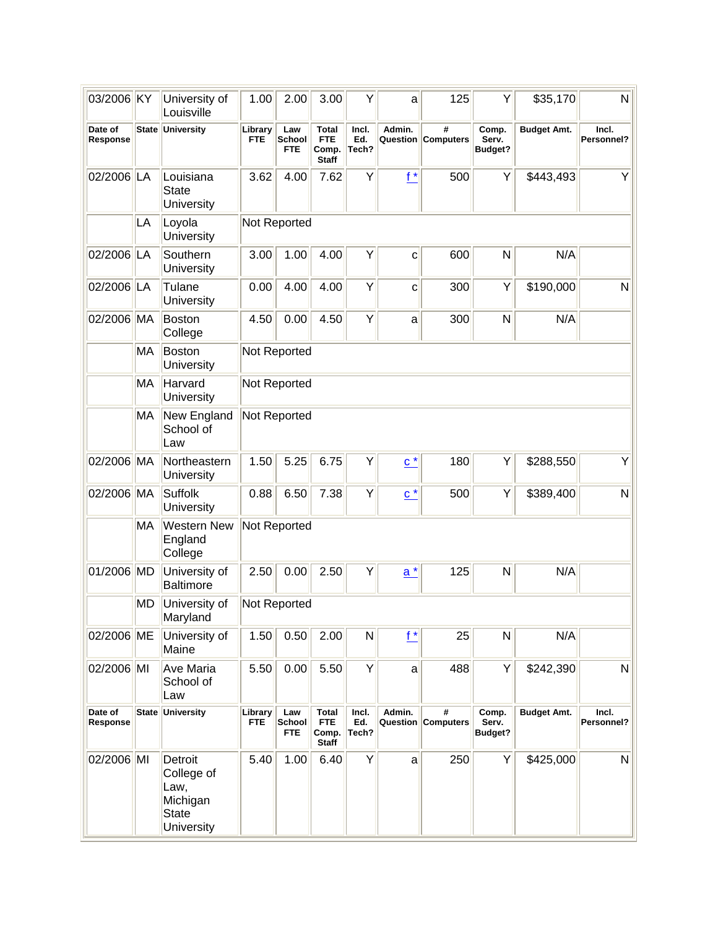| 03/2006 KY          |           | University of<br>Louisville                                             | 1.00                  | 2.00                        | 3.00                                                | Υ                     | a                            | 125                     | Y                                | \$35,170           | $\mathsf{N}$        |
|---------------------|-----------|-------------------------------------------------------------------------|-----------------------|-----------------------------|-----------------------------------------------------|-----------------------|------------------------------|-------------------------|----------------------------------|--------------------|---------------------|
| Date of<br>Response |           | State University                                                        | Library<br><b>FTE</b> | Law<br>School<br><b>FTE</b> | <b>Total</b><br><b>FTE</b><br>Comp.<br><b>Staff</b> | Incl.<br>Ed.<br>Tech? | Admin.                       | #<br>Question Computers | Comp.<br>Serv.<br><b>Budget?</b> | <b>Budget Amt.</b> | Incl.<br>Personnel? |
| 02/2006             | LA        | Louisiana<br><b>State</b><br>University                                 | 3.62                  | 4.00                        | 7.62                                                | Y                     | $f^*$                        | 500                     | Y                                | \$443,493          | Υ                   |
|                     | LA        | Loyola<br>University                                                    |                       | Not Reported                |                                                     |                       |                              |                         |                                  |                    |                     |
| 02/2006 LA          |           | Southern<br>University                                                  | 3.00                  | 1.00                        | 4.00                                                | Y                     | C                            | 600                     | N                                | N/A                |                     |
| 02/2006 LA          |           | Tulane<br>University                                                    | 0.00                  | 4.00                        | 4.00                                                | Y                     | C                            | 300                     | Y                                | \$190,000          | N                   |
| 02/2006 MA          |           | Boston<br>College                                                       | 4.50                  | 0.00                        | 4.50                                                | Υ                     | a                            | 300                     | N                                | N/A                |                     |
|                     | MA        | Boston<br>University                                                    |                       | Not Reported                |                                                     |                       |                              |                         |                                  |                    |                     |
|                     | MA        | Harvard<br>University                                                   |                       | Not Reported                |                                                     |                       |                              |                         |                                  |                    |                     |
|                     | MA        | New England<br>School of<br>Law                                         |                       | Not Reported                |                                                     |                       |                              |                         |                                  |                    |                     |
| 02/2006 MA          |           | Northeastern<br>University                                              | 1.50                  | 5.25                        | 6.75                                                | Υ                     | $\underline{\mathbf{C}}^{*}$ | 180                     | Y                                | \$288,550          | Υ                   |
| 02/2006 MA          |           | Suffolk<br>University                                                   | 0.88                  | 6.50                        | 7.38                                                | Y                     | $c^*$                        | 500                     | Y                                | \$389,400          | N                   |
|                     | <b>MA</b> | <b>Western New</b><br>England<br>College                                |                       | Not Reported                |                                                     |                       |                              |                         |                                  |                    |                     |
| 01/2006 MD          |           | University of<br><b>Baltimore</b>                                       | 2.50                  | 0.00                        | 2.50                                                | Υ                     | $\underline{a}^*$            | 125                     | N                                | N/A                |                     |
|                     | <b>MD</b> | University of<br>Maryland                                               |                       | Not Reported                |                                                     |                       |                              |                         |                                  |                    |                     |
| 02/2006 ME          |           | University of<br>Maine                                                  | 1.50                  | 0.50                        | 2.00                                                | ${\sf N}$             | $f^*$                        | 25                      | N                                | N/A                |                     |
| 02/2006 MI          |           | <b>Ave Maria</b><br>School of<br>Law                                    | 5.50                  | 0.00                        | 5.50                                                | Υ                     | a                            | 488                     | Y                                | \$242,390          | N                   |
| Date of<br>Response |           | <b>State University</b>                                                 | Library<br><b>FTE</b> | Law<br>School<br>FTE.       | <b>Total</b><br><b>FTE</b><br>Comp.<br><b>Staff</b> | Incl.<br>Ed.<br>Tech? | Admin.                       | #<br>Question Computers | Comp.<br>Serv.<br>Budget?        | <b>Budget Amt.</b> | Incl.<br>Personnel? |
| 02/2006 MI          |           | Detroit<br>College of<br>Law,<br>Michigan<br><b>State</b><br>University | 5.40                  | 1.00                        | 6.40                                                | Υ                     | a                            | 250                     | Y                                | \$425,000          | N                   |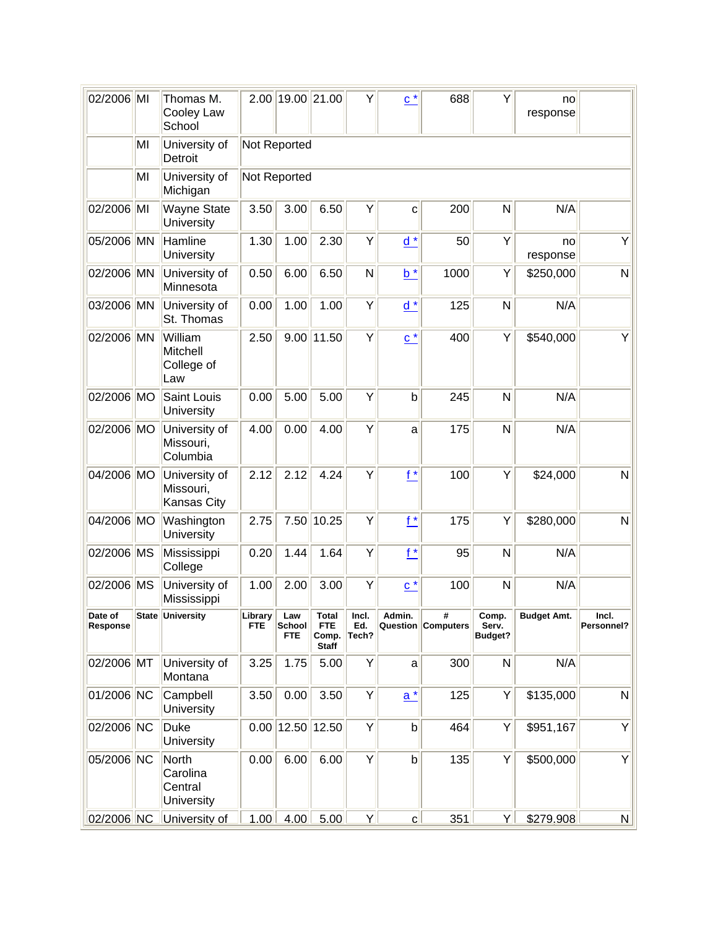| 02/2006 MI          |    | Thomas M.<br>Cooley Law<br>School                | 2.00                  | 19.00 21.00                        |                                              | Υ                     | $c^*$             | 688                            | Υ                         | no<br>response |                     |
|---------------------|----|--------------------------------------------------|-----------------------|------------------------------------|----------------------------------------------|-----------------------|-------------------|--------------------------------|---------------------------|----------------|---------------------|
|                     | MI | University of<br>Detroit                         |                       | Not Reported                       |                                              |                       |                   |                                |                           |                |                     |
|                     | MI | University of<br>Michigan                        |                       | Not Reported                       |                                              |                       |                   |                                |                           |                |                     |
| 02/2006 MI          |    | <b>Wayne State</b><br>University                 | 3.50                  | 3.00                               | 6.50                                         | Y                     | C                 | 200                            | N                         | N/A            |                     |
| 05/2006 MN          |    | Hamline<br>University                            | 1.30                  | 1.00                               | 2.30                                         | Υ                     | $d^*$             | 50                             | Y                         | no<br>response | Υ                   |
| 02/2006 MN          |    | University of<br>Minnesota                       | 0.50                  | 6.00                               | 6.50                                         | N                     | $b^*$             | 1000                           | Y                         | \$250,000      | N                   |
| 03/2006 MN          |    | University of<br>St. Thomas                      | 0.00                  | 1.00                               | 1.00                                         | Υ                     | $d^*$             | 125                            | N                         | N/A            |                     |
| 02/2006 MN          |    | William<br><b>Mitchell</b><br>College of<br>Law  | 2.50                  |                                    | $9.00$   11.50                               | Υ                     | $\underline{c}^*$ | 400                            | Υ                         | \$540,000      | Y                   |
| 02/2006 MO          |    | Saint Louis<br>University                        | 0.00                  | 5.00                               | 5.00                                         | Υ                     | $\mathsf b$       | 245                            | N                         | N/A            |                     |
| 02/2006 MO          |    | University of<br>Missouri,<br>Columbia           | 4.00                  | 0.00                               | 4.00                                         | Υ                     | a                 | 175                            | N                         | N/A            |                     |
| 04/2006 MO          |    | University of<br>Missouri,<br><b>Kansas City</b> | 2.12                  | 2.12                               | 4.24                                         | Y                     | $f^*$             | 100                            | Υ                         | \$24,000       | N                   |
| 04/2006 MO          |    | Washington<br>University                         | 2.75                  | 7.50                               | 10.25                                        | Υ                     | $f^*$             | 175                            | Υ                         | \$280,000      | $\mathsf{N}$        |
| 02/2006 MS          |    | Mississippi<br>College                           | 0.20                  | 1.44                               | 1.64                                         | Y                     | $f^*$             | 95                             | N                         | N/A            |                     |
| 02/2006 MS          |    | University of<br>Mississippi                     | 1.00                  | 2.00                               | 3.00                                         | Υ                     | $c^*$             | 100                            | N                         | N/A            |                     |
| Date of<br>Response |    | State University                                 | Library<br><b>FTE</b> | Law<br><b>School</b><br><b>FTE</b> | Total<br><b>FTE</b><br>Comp.<br><b>Staff</b> | Incl.<br>Ed.<br>Tech? | Admin.            | #<br><b>Question Computers</b> | Comp.<br>Serv.<br>Budget? | Budget Amt.    | Incl.<br>Personnel? |
| 02/2006 MT          |    | University of<br>Montana                         | 3.25                  | 1.75                               | 5.00                                         | Υ                     | a                 | 300                            | $\mathsf{N}$              | N/A            |                     |
| 01/2006 NC          |    | Campbell<br>University                           | 3.50                  | 0.00                               | 3.50                                         | Υ                     | $\underline{a}^*$ | 125                            | Y                         | \$135,000      | N                   |
| 02/2006 NC          |    | Duke<br>University                               | 0.00                  |                                    | 12.50 12.50                                  | Υ                     | $\mathsf{b}$      | 464                            | Y                         | \$951,167      | Υ                   |
| 05/2006 NC          |    | North<br>Carolina<br>Central<br>University       | 0.00                  | 6.00                               | 6.00                                         | Y                     | $\mathsf{b}$      | 135                            | Y                         | \$500,000      | Y                   |
| 02/2006 NC          |    | University of                                    | 1.00                  | 4.00                               | 5.00                                         | Y                     | $\mathbf{C}$      | 351                            | <u>Y</u>                  | \$279,908      | $\mathbf N$         |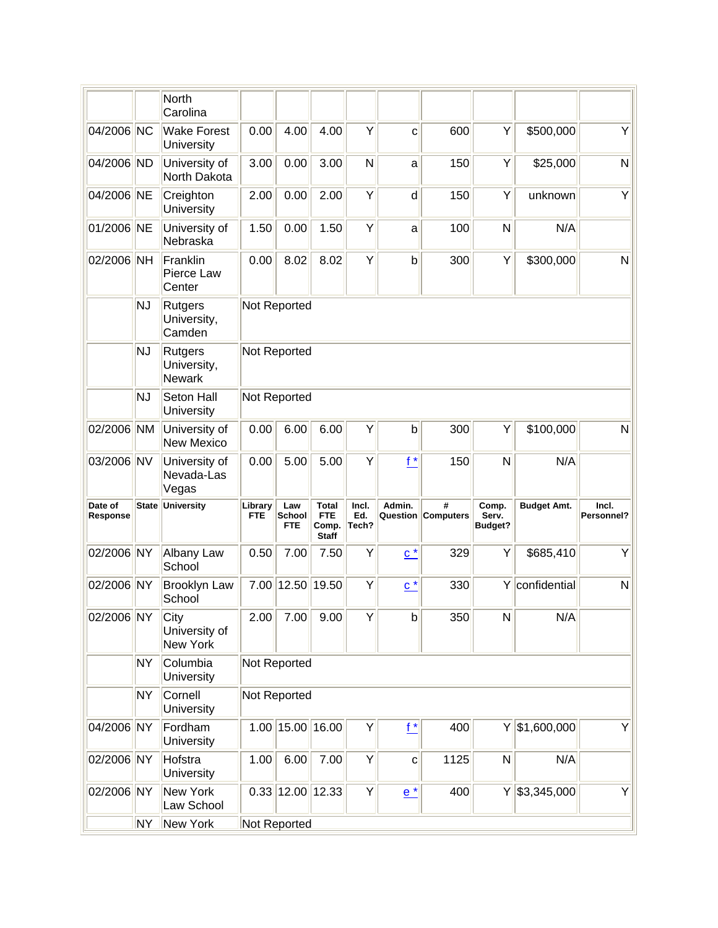|                     |           | <b>North</b><br>Carolina                |                       |                             |                                                     |                       |                   |                         |                                  |                    |                     |
|---------------------|-----------|-----------------------------------------|-----------------------|-----------------------------|-----------------------------------------------------|-----------------------|-------------------|-------------------------|----------------------------------|--------------------|---------------------|
| 04/2006 NC          |           | <b>Wake Forest</b><br>University        | 0.00                  | 4.00                        | 4.00                                                | Y                     | C                 | 600                     | Y                                | \$500,000          | Υ                   |
| 04/2006 ND          |           | University of<br>North Dakota           | 3.00                  | 0.00                        | 3.00                                                | N                     | a                 | 150                     | Y                                | \$25,000           | N                   |
| 04/2006 NE          |           | Creighton<br>University                 | 2.00                  | 0.00                        | 2.00                                                | Y                     | d                 | 150                     | Y                                | unknown            | Υ                   |
| 01/2006 NE          |           | University of<br>Nebraska               | 1.50                  | 0.00                        | 1.50                                                | Y                     | a                 | 100                     | N                                | N/A                |                     |
| 02/2006 NH          |           | Franklin<br>Pierce Law<br>Center        | 0.00                  | 8.02                        | 8.02                                                | Y                     | $\mathsf b$       | 300                     | Y                                | \$300,000          | N                   |
|                     | <b>NJ</b> | Rutgers<br>University,<br>Camden        | Not Reported          |                             |                                                     |                       |                   |                         |                                  |                    |                     |
|                     | <b>NJ</b> | Rutgers<br>University,<br><b>Newark</b> | Not Reported          |                             |                                                     |                       |                   |                         |                                  |                    |                     |
|                     | <b>NJ</b> | Seton Hall<br>University                | Not Reported          |                             |                                                     |                       |                   |                         |                                  |                    |                     |
| 02/2006 NM          |           | University of<br><b>New Mexico</b>      | 0.00                  | 6.00                        | 6.00                                                | Y                     | b                 | 300                     | Y                                | \$100,000          | N                   |
| 03/2006 NV          |           | University of<br>Nevada-Las<br>Vegas    | 0.00                  | 5.00                        | 5.00                                                | Y                     | $f^*$             | 150                     | $\mathsf{N}$                     | N/A                |                     |
| Date of<br>Response |           | State University                        | Library<br><b>FTE</b> | Law<br>School<br><b>FTE</b> | <b>Total</b><br><b>FTE</b><br>Comp.<br><b>Staff</b> | Incl.<br>Ed.<br>Tech? | Admin.            | #<br>Question Computers | Comp.<br>Serv.<br><b>Budget?</b> | <b>Budget Amt.</b> | Incl.<br>Personnel? |
| 02/2006 NY          |           | Albany Law<br>School                    | 0.50                  | 7.00                        | 7.50                                                | Y                     | $\underline{c}^*$ | 329                     | Y                                | \$685,410          | Υ                   |
| 02/2006 NY          |           | <b>Brooklyn Law</b><br>School           | 7.00                  |                             | 12.50 19.50                                         | Y                     | $c^*$             | 330                     | Y                                | confidential       | N                   |
| 02/2006 NY          |           | City<br>University of<br>New York       | 2.00                  | 7.00                        | 9.00                                                | Y                     | $\mathsf b$       | 350                     | N                                | N/A                |                     |
|                     | <b>NY</b> | Columbia<br>University                  | Not Reported          |                             |                                                     |                       |                   |                         |                                  |                    |                     |
|                     | <b>NY</b> | Cornell<br>University                   | Not Reported          |                             |                                                     |                       |                   |                         |                                  |                    |                     |
| 04/2006 NY          |           | Fordham<br>University                   |                       | 1.00 15.00 16.00            |                                                     | Υ                     | $f^*$             | 400                     |                                  | $Y$ \$1,600,000    | Y                   |
| 02/2006 NY          |           | Hofstra<br>University                   | 1.00                  | 6.00                        | 7.00                                                | Y                     | $\mathbf C$       | 1125                    | N                                | N/A                |                     |
| 02/2006 NY          |           | New York<br>Law School                  |                       | $0.33$ 12.00 12.33          |                                                     | Υ                     | $e^*$             | 400                     |                                  | $Y$ \$3,345,000    | Y                   |
|                     | NY.       | <b>New York</b>                         | Not Reported          |                             |                                                     |                       |                   |                         |                                  |                    |                     |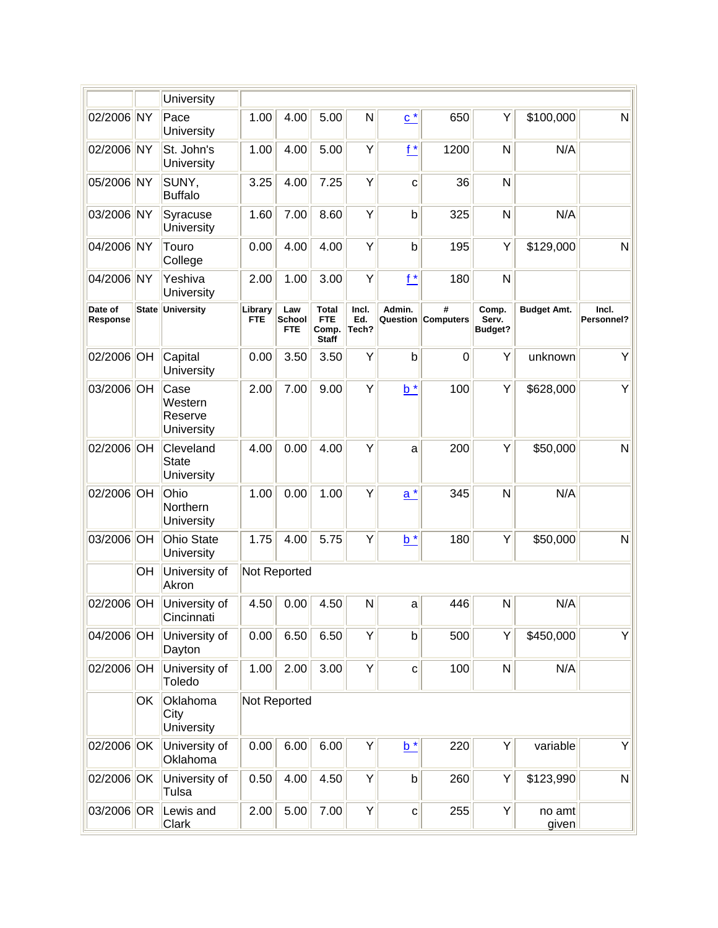|                     |    | University                               |                       |                             |                                                     |                       |                   |                         |                                  |                    |                     |
|---------------------|----|------------------------------------------|-----------------------|-----------------------------|-----------------------------------------------------|-----------------------|-------------------|-------------------------|----------------------------------|--------------------|---------------------|
| 02/2006 NY          |    | Pace<br>University                       | 1.00                  | 4.00                        | 5.00                                                | N                     | $\underline{c}^*$ | 650                     | Y                                | \$100,000          | N                   |
| 02/2006 NY          |    | St. John's<br>University                 | 1.00                  | 4.00                        | 5.00                                                | Y                     | $f^*$             | 1200                    | $\mathsf{N}$                     | N/A                |                     |
| 05/2006 NY          |    | SUNY,<br><b>Buffalo</b>                  | 3.25                  | 4.00                        | 7.25                                                | Y                     | C                 | 36                      | N                                |                    |                     |
| 03/2006 NY          |    | Syracuse<br>University                   | 1.60                  | 7.00                        | 8.60                                                | Υ                     | $\mathsf b$       | 325                     | $\mathsf{N}$                     | N/A                |                     |
| 04/2006 NY          |    | Touro<br>College                         | 0.00                  | 4.00                        | 4.00                                                | Y                     | $\mathsf b$       | 195                     | Y                                | \$129,000          | N                   |
| 04/2006 NY          |    | Yeshiva<br>University                    | 2.00                  | 1.00                        | 3.00                                                | Y                     | $f^*$             | 180                     | $\mathsf{N}$                     |                    |                     |
| Date of<br>Response |    | State University                         | Library<br><b>FTE</b> | Law<br>School<br><b>FTE</b> | <b>Total</b><br><b>FTE</b><br>Comp.<br><b>Staff</b> | Incl.<br>Ed.<br>Tech? | Admin.            | #<br>Question Computers | Comp.<br>Serv.<br><b>Budget?</b> | <b>Budget Amt.</b> | Incl.<br>Personnel? |
| 02/2006 OH          |    | Capital<br>University                    | 0.00                  | 3.50                        | 3.50                                                | Y                     | b                 | $\Omega$                | Y                                | unknown            | Υ                   |
| 03/2006 OH          |    | Case<br>Western<br>Reserve<br>University | 2.00                  | 7.00                        | 9.00                                                | Υ                     | $b^*$             | 100                     | Y                                | \$628,000          | Y                   |
| 02/2006 OH          |    | Cleveland<br><b>State</b><br>University  | 4.00                  | 0.00                        | 4.00                                                | Y                     | a                 | 200                     | Y                                | \$50,000           | N                   |
| 02/2006 OH          |    | Ohio<br>Northern<br>University           | 1.00                  | 0.00                        | 1.00                                                | Y                     | $a^*$             | 345                     | N                                | N/A                |                     |
| 03/2006 OH          |    | <b>Ohio State</b><br>University          | 1.75                  | 4.00                        | 5.75                                                | Y                     | $b^*$             | 180                     | Y                                | \$50,000           | N                   |
|                     | OH | University of<br>Akron                   |                       | Not Reported                |                                                     |                       |                   |                         |                                  |                    |                     |
| 02/2006 OH          |    | University of<br>Cincinnati              | 4.50                  | 0.00                        | 4.50                                                | N                     | a                 | 446                     | N                                | N/A                |                     |
| 04/2006 OH          |    | University of<br>Dayton                  | 0.00                  | 6.50                        | 6.50                                                | Υ                     | $\mathsf b$       | 500                     | Y                                | \$450,000          | Y                   |
| 02/2006 OH          |    | University of<br>Toledo                  | 1.00                  | 2.00                        | 3.00                                                | Y                     | $\mathbf{C}$      | 100                     | N                                | N/A                |                     |
|                     | OK | Oklahoma<br>City<br>University           |                       | Not Reported                |                                                     |                       |                   |                         |                                  |                    |                     |
| 02/2006 OK          |    | University of<br>Oklahoma                | 0.00                  | 6.00                        | 6.00                                                | Υ                     | $b^*$             | 220                     | Y                                | variable           | Y                   |
| 02/2006 OK          |    | University of<br>Tulsa                   | 0.50                  | 4.00                        | 4.50                                                | Y                     | $\mathsf b$       | 260                     | Y                                | \$123,990          | N                   |
| 03/2006 OR          |    | Lewis and<br><b>Clark</b>                | 2.00                  | 5.00                        | 7.00                                                | Υ                     | $\mathbf{C}$      | 255                     | Y                                | no amt<br>given    |                     |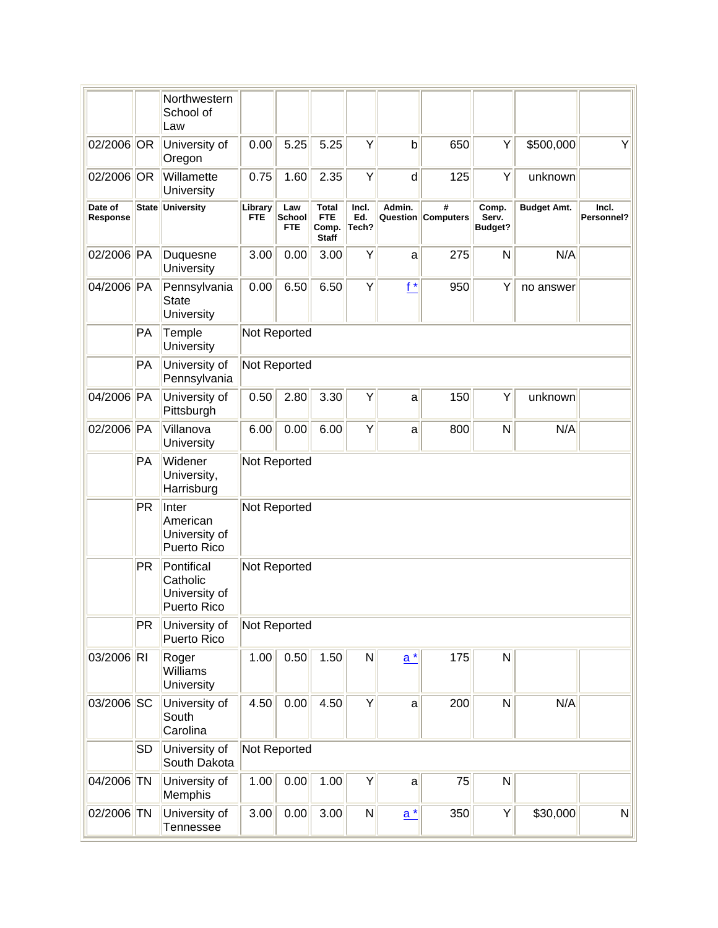|                     |           | Northwestern<br>School of<br>Law                       |                       |                                    |                                                     |                       |              |                                |                           |                    |                     |
|---------------------|-----------|--------------------------------------------------------|-----------------------|------------------------------------|-----------------------------------------------------|-----------------------|--------------|--------------------------------|---------------------------|--------------------|---------------------|
| 02/2006 OR          |           | University of<br>Oregon                                | 0.00                  | 5.25                               | 5.25                                                | Υ                     | b            | 650                            | Y                         | \$500,000          | Υ                   |
| 02/2006 OR          |           | Willamette<br>University                               | 0.75                  | 1.60                               | 2.35                                                | Υ                     | $\mathsf{d}$ | 125                            | Y                         | unknown            |                     |
| Date of<br>Response |           | State University                                       | Library<br><b>FTE</b> | Law<br><b>School</b><br><b>FTE</b> | <b>Total</b><br><b>FTE</b><br>Comp.<br><b>Staff</b> | Incl.<br>Ed.<br>Tech? | Admin.       | #<br><b>Question Computers</b> | Comp.<br>Serv.<br>Budget? | <b>Budget Amt.</b> | Incl.<br>Personnel? |
| 02/2006 PA          |           | Duquesne<br>University                                 | 3.00                  | 0.00                               | 3.00                                                | Υ                     | a            | 275                            | N                         | N/A                |                     |
| 04/2006 PA          |           | Pennsylvania<br>State<br>University                    | 0.00                  | 6.50                               | 6.50                                                | Υ                     | $f^*$        | 950                            | Y                         | no answer          |                     |
|                     | PA        | Temple<br>University                                   |                       | Not Reported                       |                                                     |                       |              |                                |                           |                    |                     |
|                     | PA        | University of<br>Pennsylvania                          |                       | Not Reported                       |                                                     |                       |              |                                |                           |                    |                     |
| 04/2006 PA          |           | University of<br>Pittsburgh                            | 0.50                  | 2.80                               | 3.30                                                | Υ                     | a            | 150                            | Y                         | unknown            |                     |
| 02/2006 PA          |           | Villanova<br>University                                | 6.00                  | 0.00                               | 6.00                                                | Υ                     | a            | 800                            | N                         | N/A                |                     |
|                     | PA        | Widener<br>University,<br>Harrisburg                   |                       | Not Reported                       |                                                     |                       |              |                                |                           |                    |                     |
|                     | <b>PR</b> | Inter<br>American<br>University of<br>Puerto Rico      |                       | Not Reported                       |                                                     |                       |              |                                |                           |                    |                     |
|                     | <b>PR</b> | Pontifical<br>Catholic<br>University of<br>Puerto Rico |                       | Not Reported                       |                                                     |                       |              |                                |                           |                    |                     |
|                     | PR        | University of<br>Puerto Rico                           |                       | Not Reported                       |                                                     |                       |              |                                |                           |                    |                     |
| 03/2006 RI          |           | Roger<br>Williams<br>University                        | 1.00                  | 0.50                               | 1.50                                                | N                     | $a^*$        | 175                            | N                         |                    |                     |
| 03/2006 SC          |           | University of<br>South<br>Carolina                     | 4.50                  | 0.00                               | 4.50                                                | Y                     | $\mathsf{a}$ | 200                            | N                         | N/A                |                     |
|                     | <b>SD</b> | University of<br>South Dakota                          |                       | Not Reported                       |                                                     |                       |              |                                |                           |                    |                     |
| 04/2006 TN          |           | University of<br>Memphis                               | 1.00                  | 0.00                               | 1.00                                                | Υ                     | a            | 75                             | N                         |                    |                     |
| 02/2006 TN          |           | University of<br>Tennessee                             | 3.00                  | 0.00                               | 3.00                                                | $\mathsf{N}$          | $a^*$        | 350                            | Y                         | \$30,000           | N                   |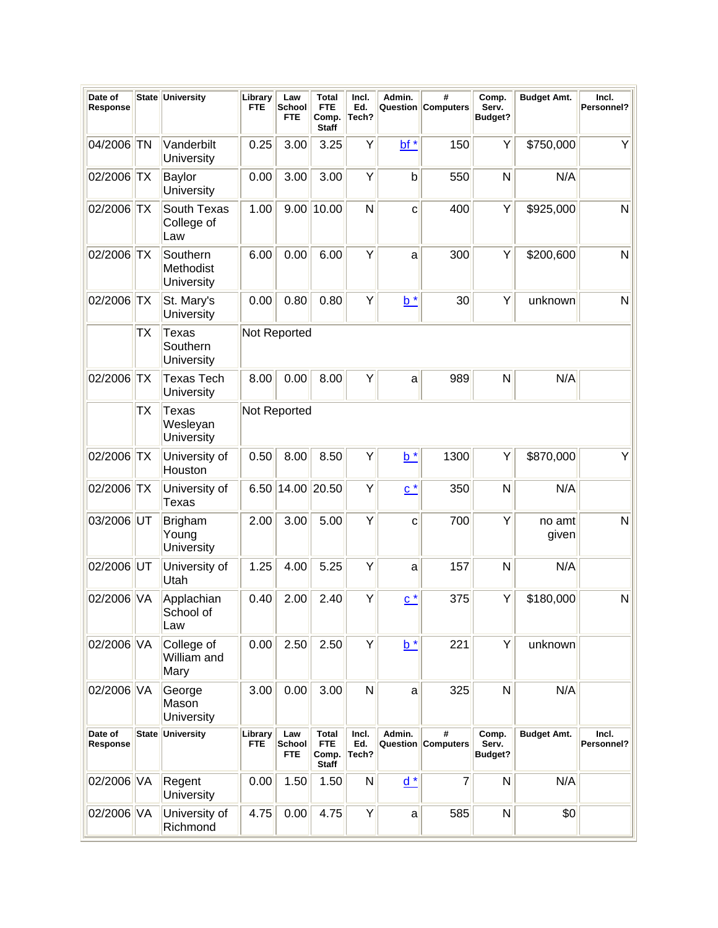| Date of<br>Response |           | State University                       | Library<br><b>FTE</b> | Law<br>School<br><b>FTE</b> | <b>Total</b><br><b>FTE</b><br>Comp.<br><b>Staff</b> | Incl.<br>Ed.<br>Tech? | Admin.<br>Question | #<br><b>Computers</b> | Comp.<br>Serv.<br>Budget? | <b>Budget Amt.</b> | Incl.<br>Personnel? |
|---------------------|-----------|----------------------------------------|-----------------------|-----------------------------|-----------------------------------------------------|-----------------------|--------------------|-----------------------|---------------------------|--------------------|---------------------|
| 04/2006 TN          |           | Vanderbilt<br>University               | 0.25                  | 3.00                        | 3.25                                                | Υ                     | $bt^*$             | 150                   | Υ                         | \$750,000          | Υ                   |
| 02/2006 TX          |           | <b>Baylor</b><br>University            | 0.00                  | 3.00                        | 3.00                                                | Y                     | $\mathsf b$        | 550                   | N                         | N/A                |                     |
| 02/2006 TX          |           | South Texas<br>College of<br>Law       | 1.00                  |                             | $9.00$   10.00                                      | N                     | C                  | 400                   | Υ                         | \$925,000          | N                   |
| 02/2006 TX          |           | Southern<br>Methodist<br>University    | 6.00                  | 0.00                        | 6.00                                                | Y                     | a                  | 300                   | Υ                         | \$200,600          | N                   |
| 02/2006             | <b>TX</b> | St. Mary's<br>University               | 0.00                  | 0.80                        | 0.80                                                | Y                     | $b^*$              | 30                    | Υ                         | unknown            | N                   |
|                     | TX        | <b>Texas</b><br>Southern<br>University |                       | Not Reported                |                                                     |                       |                    |                       |                           |                    |                     |
| 02/2006             | TX        | <b>Texas Tech</b><br>University        | 8.00                  | 0.00                        | 8.00                                                | Υ                     | a                  | 989                   | N                         | N/A                |                     |
|                     | TX        | <b>Texas</b><br>Wesleyan<br>University |                       | Not Reported                |                                                     |                       |                    |                       |                           |                    |                     |
| 02/2006             | <b>TX</b> | University of<br>Houston               | 0.50                  | 8.00                        | 8.50                                                | Υ                     | $b^*$              | 1300                  | Y                         | \$870,000          | Y                   |
| 02/2006 TX          |           | University of<br>Texas                 | 6.50                  | 14.00 20.50                 |                                                     | Y                     | $\underline{c}^*$  | 350                   | N                         | N/A                |                     |
| 03/2006 UT          |           | <b>Brigham</b><br>Young<br>University  | 2.00                  | 3.00                        | 5.00                                                | Y                     | $\mathbf{C}$       | 700                   | Υ                         | no amt<br>given    | $\mathsf{N}$        |
| 02/2006 UT          |           | University of<br>Utah                  | 1.25                  | 4.00                        | 5.25                                                | Υ                     | a                  | 157                   | N                         | N/A                |                     |
| 02/2006 VA          |           | Applachian<br>School of<br>Law         | 0.40                  | 2.00                        | 2.40                                                | Y                     | $\underline{c}^*$  | 375                   | Y                         | \$180,000          | N                   |
| 02/2006 VA          |           | College of<br>William and<br>Mary      | 0.00                  | 2.50                        | 2.50                                                | Υ                     | $b^*$              | 221                   | Y                         | unknown            |                     |
| 02/2006 VA          |           | George<br>Mason<br>University          | 3.00                  | 0.00                        | 3.00                                                | $\mathsf{N}$          | a                  | 325                   | N                         | N/A                |                     |
| Date of<br>Response |           | State University                       | Library<br><b>FTE</b> | Law<br>School<br><b>FTE</b> | <b>Total</b><br><b>FTE</b><br>Comp.<br><b>Staff</b> | Incl.<br>Ed.<br>Tech? | Admin.<br>Question | #<br><b>Computers</b> | Comp.<br>Serv.<br>Budget? | <b>Budget Amt.</b> | Incl.<br>Personnel? |
| 02/2006 VA          |           | Regent<br>University                   | 0.00                  | 1.50                        | 1.50                                                | ${\sf N}$             | $d *$              | $\overline{7}$        | N                         | N/A                |                     |
| 02/2006 VA          |           | University of<br>Richmond              | 4.75                  | 0.00                        | 4.75                                                | Υ                     | a                  | 585                   | N                         | \$0                |                     |